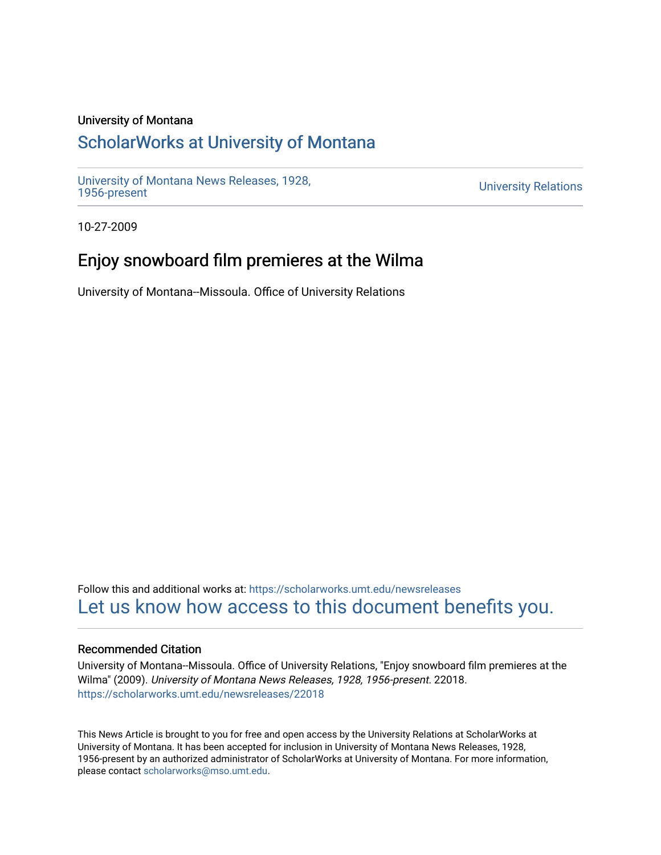## University of Montana

# [ScholarWorks at University of Montana](https://scholarworks.umt.edu/)

[University of Montana News Releases, 1928,](https://scholarworks.umt.edu/newsreleases) 

**University Relations** 

10-27-2009

# Enjoy snowboard film premieres at the Wilma

University of Montana--Missoula. Office of University Relations

Follow this and additional works at: [https://scholarworks.umt.edu/newsreleases](https://scholarworks.umt.edu/newsreleases?utm_source=scholarworks.umt.edu%2Fnewsreleases%2F22018&utm_medium=PDF&utm_campaign=PDFCoverPages) [Let us know how access to this document benefits you.](https://goo.gl/forms/s2rGfXOLzz71qgsB2) 

### Recommended Citation

University of Montana--Missoula. Office of University Relations, "Enjoy snowboard film premieres at the Wilma" (2009). University of Montana News Releases, 1928, 1956-present. 22018. [https://scholarworks.umt.edu/newsreleases/22018](https://scholarworks.umt.edu/newsreleases/22018?utm_source=scholarworks.umt.edu%2Fnewsreleases%2F22018&utm_medium=PDF&utm_campaign=PDFCoverPages) 

This News Article is brought to you for free and open access by the University Relations at ScholarWorks at University of Montana. It has been accepted for inclusion in University of Montana News Releases, 1928, 1956-present by an authorized administrator of ScholarWorks at University of Montana. For more information, please contact [scholarworks@mso.umt.edu.](mailto:scholarworks@mso.umt.edu)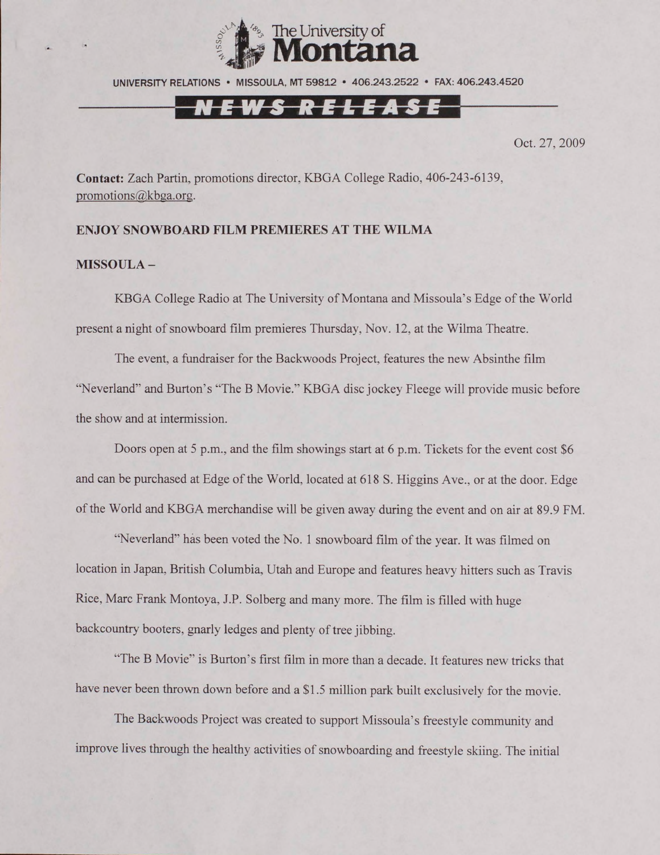

UNIVERSITY RELATIONS • MISSOULA, MT 59812 • 406.243,2522 • FAX: 406.243.4520

## N E W S R E L E A S E

Oct. 27, 2009

**Contact:** Zach Partin, promotions director, KBGA College Radio. 406-243-6139, [promotions@kbga.org](mailto:promotions@kbga.org).

### **ENJOY SNOWBOARD FILM PREMIERES AT THE WILMA**

### **MISSOULA -**

KBGA College Radio at The University of Montana and Missoula's Edge of the World present a night of snowboard film premieres Thursday, Nov. 12, at the Wilma Theatre.

The event, a fundraiser for the Backwoods Project, features the new Absinthe film "Neverland" and Burton's "The B Movie." KBGA disc jockey Fleege will provide music before the show and at intermission.

Doors open at 5 p.m., and the film showings start at 6 p.m. Tickets for the event cost \$6 and can be purchased at Edge of the World, located at 618 S. Higgins Ave., or at the door. Edge of the World and KBGA merchandise will be given away during the event and on air at 89.9 FM.

"Neverland" has been voted the No. 1 snowboard film of the year. It was filmed on location in Japan, British Columbia, Utah and Europe and features heavy hitters such as Travis Rice, Marc Frank Montoya, J.P. Solberg and many more. The film is filled with huge backcountry booters, gnarly ledges and plenty of tree jibbing.

"The B Movie" is Burton's first film in more than a decade. It features new tricks that have never been thrown down before and a \$1.5 million park built exclusively for the movie.

The Backwoods Project was created to support Missoula's freestyle community and improve lives through the healthy activities of snowboarding and freestyle skiing. The initial